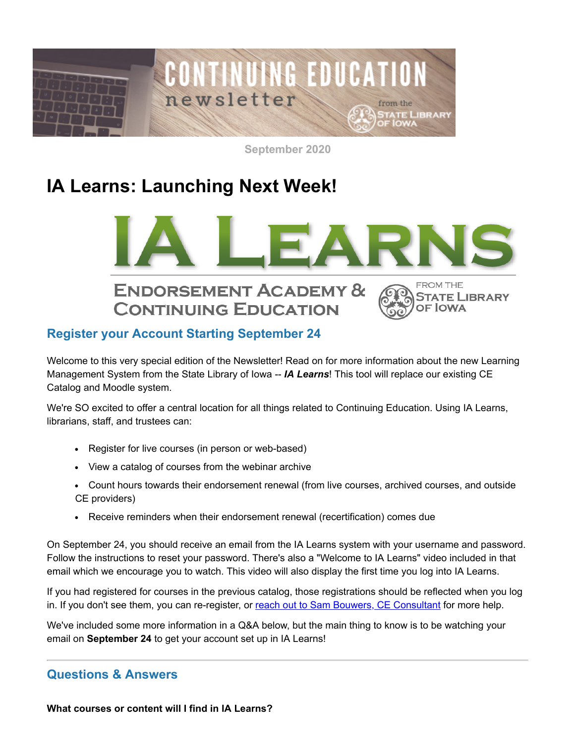

**September 2020**

# **IA Learns: Launching Next Week!**



# **CONTINUING EDUCATION**



# **Register your Account Starting September 24**

Welcome to this very special edition of the Newsletter! Read on for more information about the new Learning Management System from the State Library of Iowa -- *IA Learns*! This tool will replace our existing CE Catalog and Moodle system.

We're SO excited to offer a central location for all things related to Continuing Education. Using IA Learns, librarians, staff, and trustees can:

- Register for live courses (in person or web-based)
- View a catalog of courses from the webinar archive
- Count hours towards their endorsement renewal (from live courses, archived courses, and outside CE providers)
- Receive reminders when their endorsement renewal (recertification) comes due

On September 24, you should receive an email from the IA Learns system with your username and password. Follow the instructions to reset your password. There's also a "Welcome to IA Learns" video included in that email which we encourage you to watch. This video will also display the first time you log into IA Learns.

If you had registered for courses in the previous catalog, those registrations should be reflected when you log in. If you don't see them, you can re-register, or [reach out to Sam Bouwers, CE Consultant](mailto:samantha.bouwers@iowa.gov) for more help.

We've included some more information in a Q&A below, but the main thing to know is to be watching your email on **September 24** to get your account set up in IA Learns!

## **Questions & Answers**

**What courses or content will I find in IA Learns?**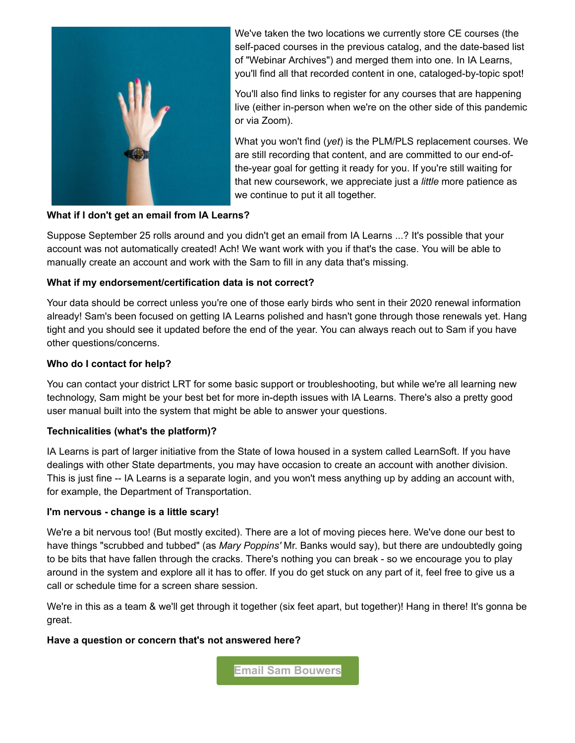

We've taken the two locations we currently store CE courses (the self-paced courses in the previous catalog, and the date-based list of "Webinar Archives") and merged them into one. In IA Learns, you'll find all that recorded content in one, cataloged-by-topic spot!

You'll also find links to register for any courses that are happening live (either in-person when we're on the other side of this pandemic or via Zoom).

What you won't find (*yet*) is the PLM/PLS replacement courses. We are still recording that content, and are committed to our end-ofthe-year goal for getting it ready for you. If you're still waiting for that new coursework, we appreciate just a *little* more patience as we continue to put it all together.

#### **What if I don't get an email from IA Learns?**

Suppose September 25 rolls around and you didn't get an email from IA Learns ...? It's possible that your account was not automatically created! Ach! We want work with you if that's the case. You will be able to manually create an account and work with the Sam to fill in any data that's missing.

#### **What if my endorsement/certification data is not correct?**

Your data should be correct unless you're one of those early birds who sent in their 2020 renewal information already! Sam's been focused on getting IA Learns polished and hasn't gone through those renewals yet. Hang tight and you should see it updated before the end of the year. You can always reach out to Sam if you have other questions/concerns.

#### **Who do I contact for help?**

You can contact your district LRT for some basic support or troubleshooting, but while we're all learning new technology, Sam might be your best bet for more in-depth issues with IA Learns. There's also a pretty good user manual built into the system that might be able to answer your questions.

#### **Technicalities (what's the platform)?**

IA Learns is part of larger initiative from the State of Iowa housed in a system called LearnSoft. If you have dealings with other State departments, you may have occasion to create an account with another division. This is just fine -- IA Learns is a separate login, and you won't mess anything up by adding an account with, for example, the Department of Transportation.

#### **I'm nervous - change is a little scary!**

We're a bit nervous too! (But mostly excited). There are a lot of moving pieces here. We've done our best to have things "scrubbed and tubbed" (as *Mary Poppins'* Mr. Banks would say), but there are undoubtedly going to be bits that have fallen through the cracks. There's nothing you can break - so we encourage you to play around in the system and explore all it has to offer. If you do get stuck on any part of it, feel free to give us a call or schedule time for a screen share session.

We're in this as a team & we'll get through it together (six feet apart, but together)! Hang in there! It's gonna be great.

#### **Have a question or concern that's not answered here?**

**[Email Sam Bouwers](mailto:samantha.bouwers@iowa.gov)**